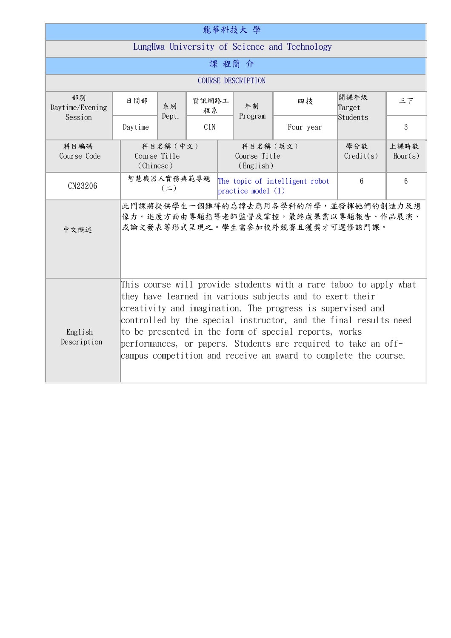| 龍華科技大 學                                      |                                                                                                                                                                                                                                                                                                                                                                                                                                                               |                                 |            |  |                                        |                                                                                                                  |                            |                 |  |  |
|----------------------------------------------|---------------------------------------------------------------------------------------------------------------------------------------------------------------------------------------------------------------------------------------------------------------------------------------------------------------------------------------------------------------------------------------------------------------------------------------------------------------|---------------------------------|------------|--|----------------------------------------|------------------------------------------------------------------------------------------------------------------|----------------------------|-----------------|--|--|
| LungHwa University of Science and Technology |                                                                                                                                                                                                                                                                                                                                                                                                                                                               |                                 |            |  |                                        |                                                                                                                  |                            |                 |  |  |
| 課程簡介                                         |                                                                                                                                                                                                                                                                                                                                                                                                                                                               |                                 |            |  |                                        |                                                                                                                  |                            |                 |  |  |
| <b>COURSE DESCRIPTION</b>                    |                                                                                                                                                                                                                                                                                                                                                                                                                                                               |                                 |            |  |                                        |                                                                                                                  |                            |                 |  |  |
| 部別<br>Daytime/Evening<br>Session             | 日間部                                                                                                                                                                                                                                                                                                                                                                                                                                                           | 資訊網路工<br>系別<br>程系<br>Dept.      |            |  | 年制<br>Program                          | 四技                                                                                                               | 開課年級<br>Target<br>Students | 三下              |  |  |
|                                              | Daytime                                                                                                                                                                                                                                                                                                                                                                                                                                                       |                                 | <b>CIN</b> |  |                                        | Four-year                                                                                                        |                            | 3               |  |  |
| 科目編碼<br>Course Code                          | Course Title<br>(Chinese)                                                                                                                                                                                                                                                                                                                                                                                                                                     | 科目名稱 (中文)                       |            |  | 科目名稱 (英文)<br>Course Title<br>(English) |                                                                                                                  | 學分數<br>Credit(s)           | 上課時數<br>Hour(s) |  |  |
| CN23206                                      |                                                                                                                                                                                                                                                                                                                                                                                                                                                               | 智慧機器人實務典範專題<br>$($ $\equiv$ $)$ |            |  | practive model (1)                     | The topic of intelligent robot                                                                                   | 6                          | $6\phantom{.}6$ |  |  |
| 中文概述                                         |                                                                                                                                                                                                                                                                                                                                                                                                                                                               |                                 |            |  |                                        | 此門課將提供學生一個難得的忌諱去應用各學科的所學,並發揮她們的創造力及想<br>像力。進度方面由專題指導老師監督及掌控,最終成果需以專題報告、作品展演、<br>或論文發表等形式呈現之。學生需參加校外競賽且獲獎才可選修該門課。 |                            |                 |  |  |
| English<br>Description                       | This course will provide students with a rare taboo to apply what<br>they have learned in various subjects and to exert their<br>creativity and imagination. The progress is supervised and<br>controlled by the special instructor, and the final results need<br>to be presented in the form of special reports, works<br>performances, or papers. Students are required to take an off-<br>campus competition and receive an award to complete the course. |                                 |            |  |                                        |                                                                                                                  |                            |                 |  |  |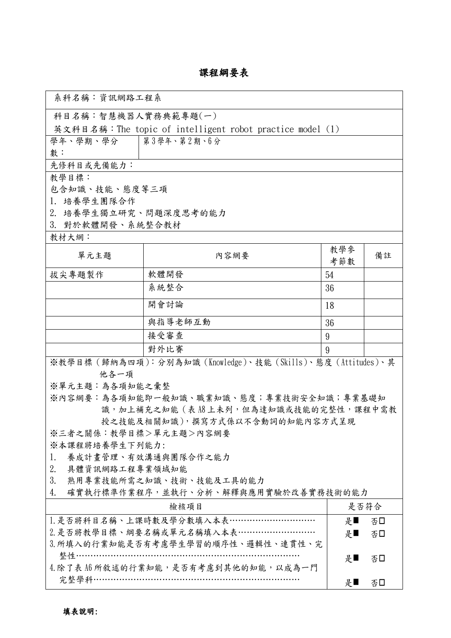## 課程綱要表

٦

| 系科名稱:資訊網路工程系                                                         |                                                          |     |      |  |  |  |  |  |
|----------------------------------------------------------------------|----------------------------------------------------------|-----|------|--|--|--|--|--|
| 科目名稱:智慧機器人實務典範專題(一)                                                  |                                                          |     |      |  |  |  |  |  |
|                                                                      | 英文科目名稱:The topic of intelligent robot practice model (1) |     |      |  |  |  |  |  |
| 學年、學期、學分   第3學年、第2期、6分                                               |                                                          |     |      |  |  |  |  |  |
| 數:                                                                   |                                                          |     |      |  |  |  |  |  |
| 先修科目或先備能力:                                                           |                                                          |     |      |  |  |  |  |  |
| 教學目標:                                                                |                                                          |     |      |  |  |  |  |  |
| 包含知識、技能、態度等三項                                                        |                                                          |     |      |  |  |  |  |  |
| 1. 培養學生團隊合作                                                          |                                                          |     |      |  |  |  |  |  |
| 2. 培養學生獨立研究、問題深度思考的能力<br>3. 對於軟體開發、系統整合教材                            |                                                          |     |      |  |  |  |  |  |
| 教材大網:                                                                |                                                          |     |      |  |  |  |  |  |
|                                                                      |                                                          | 教學參 |      |  |  |  |  |  |
| 單元主題                                                                 | 內容網要                                                     | 考節數 | 備註   |  |  |  |  |  |
| 拔尖專題製作                                                               | 軟體開發                                                     | 54  |      |  |  |  |  |  |
|                                                                      | 系統整合                                                     | 36  |      |  |  |  |  |  |
|                                                                      | 開會討論                                                     | 18  |      |  |  |  |  |  |
|                                                                      | 與指導老師互動                                                  | 36  |      |  |  |  |  |  |
|                                                                      | 接受審查                                                     | 9   |      |  |  |  |  |  |
|                                                                      | 對外比賽                                                     | 9   |      |  |  |  |  |  |
| ※教學目標(歸納為四項):分別為知識(Knowledge)、技能(Skills)、態度(Attitudes)、其             |                                                          |     |      |  |  |  |  |  |
| 他各一項                                                                 |                                                          |     |      |  |  |  |  |  |
| ※單元主題:為各項知能之彙整                                                       |                                                          |     |      |  |  |  |  |  |
| ※內容網要:為各項知能即一般知識、職業知識、態度;專業技術安全知識;專業基礎知                              |                                                          |     |      |  |  |  |  |  |
| 識, 加上補充之知能 ( 表 A8 上未列, 但為達知識或技能的完整性, 課程中需教                           |                                                          |     |      |  |  |  |  |  |
| 授之技能及相關知識),撰寫方式係以不含動詞的知能內容方式呈現                                       |                                                          |     |      |  |  |  |  |  |
| ※三者之關係:教學目標>單元主題>內容網要                                                |                                                          |     |      |  |  |  |  |  |
| ※本課程將培養學生下列能力:<br>養成計畫管理、有效溝通與團隊合作之能力<br>1.                          |                                                          |     |      |  |  |  |  |  |
| 具體資訊網路工程專業領域知能<br>2.                                                 |                                                          |     |      |  |  |  |  |  |
| 3.<br>熟用專業技能所需之知識、技術、技能及工具的能力                                        |                                                          |     |      |  |  |  |  |  |
| 4.                                                                   | 確實執行標準作業程序,並執行、分析、解釋與應用實驗於改善實務技術的能力                      |     |      |  |  |  |  |  |
|                                                                      | 檢核項目                                                     |     | 是否符合 |  |  |  |  |  |
|                                                                      | 1. 是否將科目名稱、上課時數及學分數填入本表…………………………                        | 是■  | 否□   |  |  |  |  |  |
| 2. 是否將教學目標、綱要名稱或單元名稱填入本表………………………                                    | 是■                                                       | 否□  |      |  |  |  |  |  |
|                                                                      | 3. 所填入的行業知能是否有考慮學生學習的順序性、邏輯性、連貫性、完                       |     |      |  |  |  |  |  |
| 整性……………………………………………………………………                                         | 是■                                                       | 否口  |      |  |  |  |  |  |
| 4. 除了表 A6 所敘述的行業知能,是否有考慮到其他的知能,以成為一門<br>完整學科……………………………………………………………… |                                                          |     |      |  |  |  |  |  |
|                                                                      |                                                          | 是■  | 否口   |  |  |  |  |  |

Г